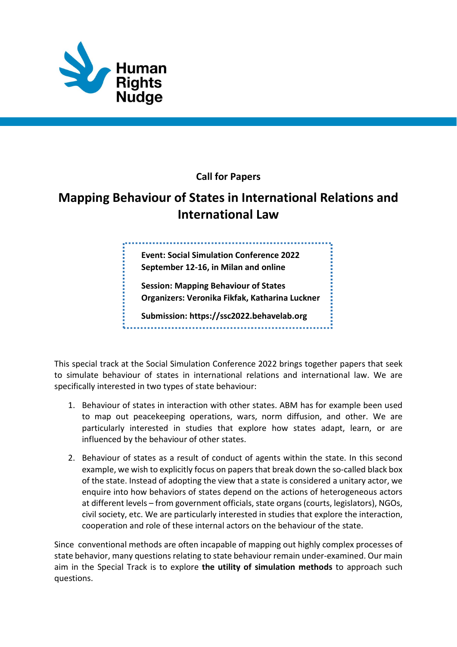

## Call for Papers

## Mapping Behaviour of States in International Relations and International Law

Event: Social Simulation Conference 2022 September 12-16, in Milan and online

Session: Mapping Behaviour of States Organizers: Veronika Fikfak, Katharina Luckner

Submission: https://ssc2022.behavelab.org

This special track at the Social Simulation Conference 2022 brings together papers that seek to simulate behaviour of states in international relations and international law. We are specifically interested in two types of state behaviour:

- 1. Behaviour of states in interaction with other states. ABM has for example been used to map out peacekeeping operations, wars, norm diffusion, and other. We are particularly interested in studies that explore how states adapt, learn, or are influenced by the behaviour of other states.
- 2. Behaviour of states as a result of conduct of agents within the state. In this second example, we wish to explicitly focus on papers that break down the so-called black box of the state. Instead of adopting the view that a state is considered a unitary actor, we enquire into how behaviors of states depend on the actions of heterogeneous actors at different levels – from government officials, state organs (courts, legislators), NGOs, civil society, etc. We are particularly interested in studies that explore the interaction, cooperation and role of these internal actors on the behaviour of the state.

Since conventional methods are often incapable of mapping out highly complex processes of state behavior, many questions relating to state behaviour remain under-examined. Our main aim in the Special Track is to explore the utility of simulation methods to approach such questions.